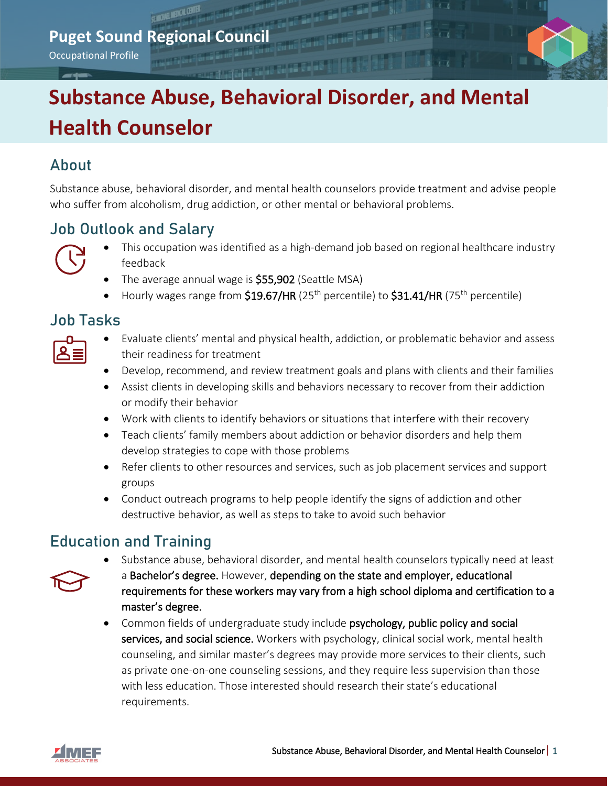## **Puget Sound Regional Council**

Occupational Profile

# **Substance Abuse, Behavioral Disorder, and Mental Health Counselor**

### About

Substance abuse, behavioral disorder, and mental health counselors provide treatment and advise people who suffer from alcoholism, drug addiction, or other mental or behavioral problems.

## Job Outlook and Salary



- This occupation was identified as a high-demand job based on regional healthcare industry feedback
- The average annual wage is **\$55,902** (Seattle MSA)
- Hourly wages range from  $$19.67/HR$  (25<sup>th</sup> percentile) to  $$31.41/HR$  (75<sup>th</sup> percentile)

#### Job Tasks

| $\mathcal{L}(\mathcal{L})$ and $\mathcal{L}(\mathcal{L})$ and $\mathcal{L}(\mathcal{L})$<br>I |  |  |
|-----------------------------------------------------------------------------------------------|--|--|
|                                                                                               |  |  |

- Evaluate clients' mental and physical health, addiction, or problematic behavior and assess their readiness for treatment
- Develop, recommend, and review treatment goals and plans with clients and their families
- Assist clients in developing skills and behaviors necessary to recover from their addiction or modify their behavior
- Work with clients to identify behaviors or situations that interfere with their recovery
- Teach clients' family members about addiction or behavior disorders and help them develop strategies to cope with those problems
- Refer clients to other resources and services, such as job placement services and support groups
- Conduct outreach programs to help people identify the signs of addiction and other destructive behavior, as well as steps to take to avoid such behavior

# Education and Training



- Substance abuse, behavioral disorder, and mental health counselors typically need at least a Bachelor's degree. However, depending on the state and employer, educational requirements for these workers may vary from a high school diploma and certification to a master's degree.
- Common fields of undergraduate study include psychology, public policy and social services, and social science. Workers with psychology, clinical social work, mental health counseling, and similar master's degrees may provide more services to their clients, such as private one-on-one counseling sessions, and they require less supervision than those with less education. Those interested should research their state's educational requirements.

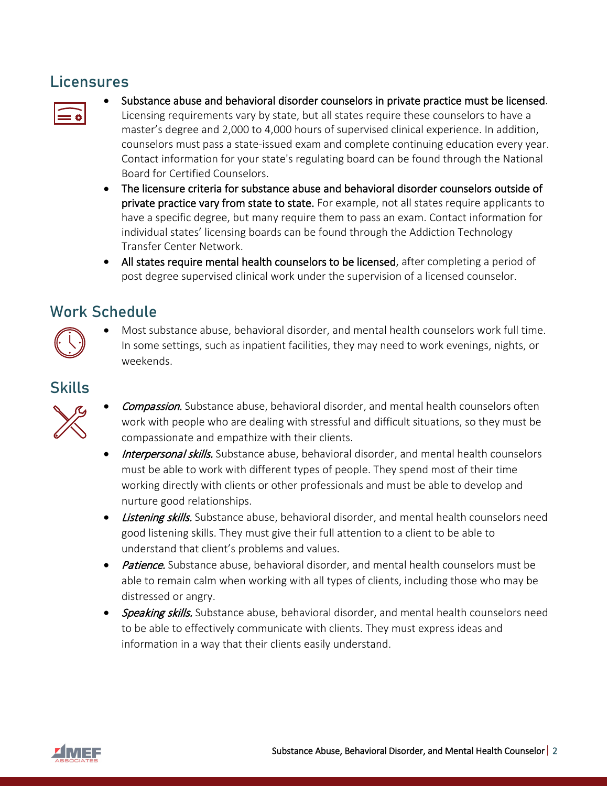#### Licensures



- Substance abuse and behavioral disorder counselors in private practice must be licensed. Licensing requirements vary by state, but all states require these counselors to have a master's degree and 2,000 to 4,000 hours of supervised clinical experience. In addition, counselors must pass a state-issued exam and complete continuing education every year. Contact information for your state's regulating board can be found through the National Board for Certified Counselors.
- The licensure criteria for substance abuse and behavioral disorder counselors outside of private practice vary from state to state. For example, not all states require applicants to have a specific degree, but many require them to pass an exam. Contact information for individual states' licensing boards can be found through the Addiction Technology Transfer Center Network.
- All states require mental health counselors to be licensed, after completing a period of post degree supervised clinical work under the supervision of a licensed counselor.

# Work Schedule



• Most substance abuse, behavioral disorder, and mental health counselors work full time. In some settings, such as inpatient facilities, they may need to work evenings, nights, or weekends.

# Skills



- **Compassion.** Substance abuse, behavioral disorder, and mental health counselors often work with people who are dealing with stressful and difficult situations, so they must be compassionate and empathize with their clients.
- Interpersonal skills. Substance abuse, behavioral disorder, and mental health counselors must be able to work with different types of people. They spend most of their time working directly with clients or other professionals and must be able to develop and nurture good relationships.
- Listening skills. Substance abuse, behavioral disorder, and mental health counselors need good listening skills. They must give their full attention to a client to be able to understand that client's problems and values.
- Patience. Substance abuse, behavioral disorder, and mental health counselors must be able to remain calm when working with all types of clients, including those who may be distressed or angry.
- Speaking skills. Substance abuse, behavioral disorder, and mental health counselors need to be able to effectively communicate with clients. They must express ideas and information in a way that their clients easily understand.